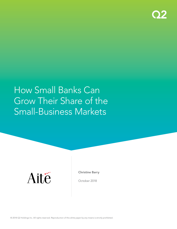

# How Small Banks Can Grow Their Share of the Small-Business Markets



Christine Barry

October 2018

© 2018 Q2 Holdings Inc. All rights reserved. Reproduction of this white paper by any means is strictly prohibited.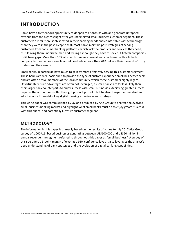## **INTRODUCTION**

Banks have a tremendous opportunity to deepen relationships with and generate untapped revenue from the highly sought after yet underserved small-business customer segment. These customers are far more sophisticated in their banking needs and comfortable with technology than they were in the past. Despite that, most banks maintain past strategies of serving customers from consumer banking platforms, which lack the products and services they need, thus leaving them underwhelmed and feeling as though they have to seek out fintech companies to fill bank gaps. More than 60% of small businesses have already partnered with a fintech company to meet at least one financial need while more than 70% believe their banks don't truly understand their needs.

Small banks, in particular, have much to gain by more effectively serving this customer segment. These banks are well-positioned to provide the type of custom experience small businesses seek and are often active members of the local community, which these customers highly regard. Unfortunately, such advantages are often not leveraged, as small banks are far less likely than their larger bank counterparts to enjoy success with small businesses. Achieving greater success requires them to not only offer the right product portfolio but to also change their mindset and adopt a more forward-looking digital banking experience and strategy.

This white paper was commissioned by Q2 and produced by Aite Group to analyze the evolving small-business banking market and highlight what small banks must do to enjoy greater success with this critical and potentially lucrative customer segment.

## **METHODOLOGY**

The information in this paper is primarily based on the results of a June to July 2017 Aite Group survey of 1,000 U.S.-based businesses generating between US\$100,000 and US\$20 million in annual revenue, the segment referred to throughout this paper as "small business." A survey of this size offers a 3-point margin of error at a 95% confidence level. It also leverages the analyst's deep understanding of bank strategies and the evolution of digital banking capabilities.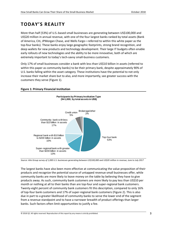# **TODAY'S REALITY**

More than half (53%) of U.S.-based small businesses are generating between US\$100,000 and US\$20 million in annual revenue, with one of the four largest banks ranked by total assets (Bank of America, Citi, JPMorgan Chase, and Wells Fargo—referred to within this white paper as the top-four banks). These banks enjoy large geographic footprints, strong brand recognition, and deep wallets for new products and technology development. Their large IT budgets often enable early rollouts of new technologies and the ability to be more innovative, both of which are extremely important to today's tech-savvy small-business customers.

Only 17% of small businesses consider a bank with less than US\$10 billion in assets (referred to within this paper as community banks) to be their primary bank, despite approximately 90% of U.S. banks falling within the asset category. These institutions have the potential to not only increase their market share but to also, and more importantly, see greater success with the customers they serve [\(Figure 1\)](#page-2-0).

## <span id="page-2-0"></span>**Figure 1: Primary Financial Institution**



*Source: Aite Group survey of 1,000 U.S. businesses generating between US\$100,000 and US\$20 million in revenue, June to July 2017*

The largest banks have also been more effective at communicating the value proposition of their products and recognize the potential source of untapped revenue small businesses offer, while community banks are more likely to leave money on the table by believing they have to give products away. As such, community bank customers are more likely to pay less than US\$10 per month or nothing at all to their banks than are top-four and super-regional bank customers. Twenty-eight percent of community bank customers fit this description, compared to only 16% of top-four bank customers and 17% of super-regional bank customers [\(Figure 2\)](#page-3-0). This is also due in part to a greater likelihood of community banks to serve the lower end of the segment from a revenue standpoint and to have a narrower breadth of product offerings than larger banks. Such factors often limit opportunities to justify a fee.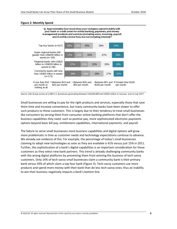#### <span id="page-3-0"></span>**Figure 2: Monthly Spend**





*Source: Aite Group survey of 1,000 U.S. businesses generating between US\$100,000 and US\$20 million in revenue, June to July 2017*

Small businesses are willing to pay for the right products and services, especially those that save them time and increase convenience, but many community banks have been slower to offer such products to these customers. This is largely due to their tendency to treat small businesses like consumers by serving them from consumer online banking platforms that don't offer the business capabilities they need, such as positive pay, more sophisticated electronic payments options beyond basic bill pay, entitlement capabilities, international payments, and payroll.

The failure to serve small businesses more business capabilities and digital options will grow more problematic in time as customer needs and technology expectations continue to advance. We already see evidence of this. For example, the percentage of today's small businesses claiming to adopt new technologies as soon as they are available is 41% versus just 15% in 2011. Further, the sophistication of a bank's digital capabilities is an important consideration for these customers as they select new bank partners. This trend is already challenging community banks with the wrong digital platforms by preventing them from winning the business of tech-savvy customers. Only 14% of tech-savvy small businesses claim a community bank is their primary bank versus 59% of which claim a top-four bank [\(Figure 3\)](#page-4-0). Tech-savvy customers use more products and spend more money with their bank than do less tech-savvy ones; thus an inability to win their business negatively impacts a bank's bottom line.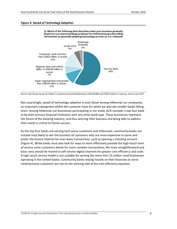#### <span id="page-4-0"></span>**Figure 3: Speed of Technology Adoption**



*Source: Aite Group survey of 1,000 U.S. businesses generating between US\$100,000 and US\$20 million in revenue, June to July 2017*

Not surprisingly, speed of technology adoption is even faster among millennial-run companies, an important subsegment within this customer base for which we also see smaller banks falling short. Among millennial-run businesses participating in our study, 62% consider a top-four bank to be their primary financial institution over any other bank type. These businesses represent the future of the banking industry, and thus winning their business and being able to address their needs is critical to future success.

As the top-four banks are serving tech-savvy customers and millennials, community banks are instead most likely to win the business of customers who are more expensive to serve and prefer the branch channel for even basic transactions, such as opening a checking account [\(Figure 4\)](#page-5-0). While banks must also look for ways to more effectively provide the high-touch level of service some customers desire for more complex transactions, the more straightforward and basic ones should be moved to self-service digital channels for greater cost efficiency and scale. A high-touch service model is not scalable for serving the more than 25 million small businesses operating in the United States. Community banks relying heavily on their branches to serve small-business customers are not on the winning side of the cost-efficiency equation.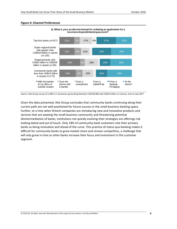#### <span id="page-5-0"></span>**Figure 4: Channel Preferences**



**Q. What is your preferred channel for initiating an application for a business deposit/checking account?**

*Source: Aite Group survey of 1,000 U.S. businesses generating between US\$100,000 and US\$20 million in revenue, June to July 2017*

Given the data presented, Aite Group concludes that community banks continuing along their current path are not well-positioned for future success in the small-business banking space. Further, at a time when fintech companies are introducing new and innovative products and services that are wowing the small-business community and threatening potential disintermediation of banks, institutions not quickly evolving their strategies are offerings risk looking dated and out of touch. Only 18% of community bank customers rate their primary banks as being innovative and ahead of the curve. This practice of status quo banking makes it difficult for community banks to grow market share and remain competitive, a challenge that will only grow in time as other banks increase their focus and investment in this customer segment.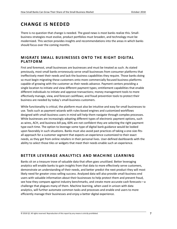# **CHANGE IS NEEDED**

There is no question that change is needed. The good news is most banks realize this. Smallbusiness strategies must evolve, product portfolios must broaden, and technology must be modernized. This section provides insights and recommendations into the areas in which banks should focus over the coming months.

## **MIGR ATE SMALL BU SINESSES ONTO THE R IGHT DIGITAL PLATFOR M**

First and foremost, small businesses are businesses and must be treated as such. As stated previously, most small banks erroneously serve small businesses from consumer platforms that ineffectively meet their needs and lack the business capabilities they require. Those banks doing so must begin migrating these customers onto more commercially focused business platforms capable of growing with the customer as their needs advance. Payment centers providing a single location to initiate and view different payment types; entitlement capabilities that enable different individuals to initiate and approve transactions; money management tools to more effectively manage, view, and forecast cashflows; and fraud prevention tools to protect their business are needed by today's small-business customers.

While functionality is critical, the platform must also be intuitive and easy for small businesses to use. Tools such as payment wizards with rules-based engines and customized workflows designed with small-business users in mind will help them navigate through complex processes. While businesses are increasingly adopting different types of electronic payment options, such as wires, ACH, and business bill pay, 60% are not confident they are selecting the right payment type each time. The option to leverage some type of digital bank guidance would be looked upon favorably in such situations. Banks must also avoid past practices of taking a one-size-fitsall approach for a customer segment that expects an experience customized to their exact needs, as they get from online retailers in their personal lives. User-defined dashboards with the ability to select those tiles or widgets that meet their needs enable such an experience.

## **BETTER LEVERAGE ANALYTICS AND MACHINE LEARNING**

Banks sit on a treasure trove of valuable data that often goes unutilized. Better leveraging analytics will enable banks to gain insights from that data to more effectively serve customers, demonstrate an understanding of their needs, and better predict the next product they will most likely need for greater cross-selling success. Analyzed data will also provide small-business end users with valuable information about their businesses to help protect them and prevent fraud, see how they compare against industry benchmarks, and create more accurate cash forecasts—a challenge that plagues many of them. Machine learning, when used in unison with data analytics, will further automate common tasks and processes and enable end users to more efficiently manage their businesses and enjoy a better digital experience.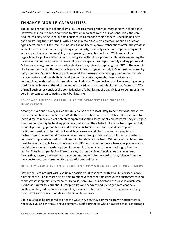## **ENHANCE MOBILE CAPABILITIES**

The online channel is the channel small businesses most prefer for interacting with their banks. However, as mobile phones continue to play an important role in our personal lives, they are also increasingly being used by small businesses to manage their finances. Checking balances and transferring funds internally within a bank remain the most common mobile transaction types performed, but for small businesses, the ability to approve transactions offers the greatest value. Other use cases are also growing in popularity, especially as person-to-person payment vehicles, such as Venmo and Zelle, enjoy growing transaction volume. While most of us, regardless of age, have fallen victim to being lost without our phones, millennials are among the most common mobile phone owners and users of capabilities beyond simply making phone calls. Millennials have grown up with mobile devices; thus, it is not surprising that 58% of them would like to see their bank offer more mobile capabilities, compared to only 26% of businesses run by baby boomers. Other mobile capabilities small businesses are increasingly demanding include mobile capture and the ability to reset passwords, make payments, view invoices, and communicate with their bank through a mobile device. These devices are also increasingly being used for out-of-bank authentication and enhanced security through biometrics. More than 75% of small businesses consider the sophistication of a bank's mobile capabilities to be important or very important when selecting a new bank partner.

### LEVERAGE FINTECH CAPABILITIES TO DEMONSTRATE GREATER **I N N O VAT I O N**

Among the various bank types, community banks are the least likely to be viewed as innovative by their small-business customers. While these institutions often do not have the resources to invest directly in or even vet fintech companies like their larger bank counterparts, they must put pressure on their digital banking providers to do so on their behalf. These partnerships will help them fill product gaps and better address new customer needs for capabilities beyond traditional banking. In fact, 68% of small businesses would like to see more bank/fintech partnerships. One way vendors can achieve this is through the creation of fintech ecosystems composed of pre-integrated capabilities with hand-picked partners. While system architectures must be open and able to easily integrate via APIs with other vendors a bank may prefer, such a model offers banks an easier option. Some vendors have already begun looking to identify leading fintech companies in different areas, such as invoicing/receivables management, forecasting, payroll, and expense management, but will also be looking for guidance from their bank customers to determine other potential areas of focus.

#### **IDENTIFY NEW WAYS TO SERVICE AND COMMUNICATE WITH CUSTOMERS**

Having the right product with a value proposition that resonates with small businesses is only half the battle. Banks must also be able to effectively get that message out to customers to lead to the greatest opportunity for sales. To do so, banks must understand the ways in which small businesses prefer to learn about new products and services and leverage those channels. Further, while good communication is key, banks must have an easy and intuitive onboarding process with self-service capabilities for small businesses.

Banks must also be prepared to alter the ways in which they communicate with customers as needs evolve, and they must have segment-specific strategies when it makes sense. For example,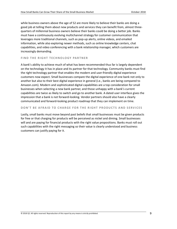while business owners above the age of 52 are more likely to believe their banks are doing a good job at telling them about new products and services they can benefit from, almost threequarters of millennial business owners believe their banks could be doing a better job. Banks must have a continuously evolving multichannel strategy for customer communication that leverages more traditional channels, such as pop-up alerts, online videos, and emailed information, while also exploring newer methods, such as online knowledge centers, chat capabilities, and video conferencing with a bank relationship manager, which customers are increasingly demanding.

#### **FIND THE RIGHT TECHNOLOGY PARTNER**

A bank's ability to achieve much of what has been recommended thus far is largely dependent on the technology it has in place and its partner for that technology. Community banks must find the right technology partner that enables the modern and user-friendly digital experience customers now expect. Small businesses compare the digital experience of one bank not only to another but also to their best digital experience in general (i.e., banks are being compared to Amazon.com). Modern and sophisticated digital capabilities are a top consideration for small businesses when selecting a new bank partner, and those unhappy with a bank's current capabilities are twice as likely to switch and go to another bank. A dated user interface gives the impression that a bank is not forward-looking. Vendor partners should also have a clearly communicated and forward-looking product roadmap that they can implement on time.

#### **DON'T BE AFRAID TO CHARGE FOR THE RIGHT PRODUCTS AND SERVICES**

Lastly, small banks must move beyond past beliefs that small businesses must be given products for free or that charging for products will be perceived as nickel and diming. Small businesses will and are paying for financial products with the right value propositions. Banks must roll out such capabilities with the right messaging so their value is clearly understood and business customers can justify paying for it.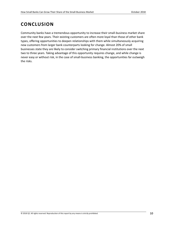# **CONCLUSION**

Community banks have a tremendous opportunity to increase their small-business market share over the next few years. Their existing customers are often more loyal than those of other bank types, offering opportunities to deepen relationships with them while simultaneously acquiring new customers from larger bank counterparts looking for change. Almost 20% of small businesses state they are likely to consider switching primary financial institutions over the next two to three years. Taking advantage of this opportunity requires change, and while change is never easy or without risk, in the case of small-business banking, the opportunities far outweigh the risks.